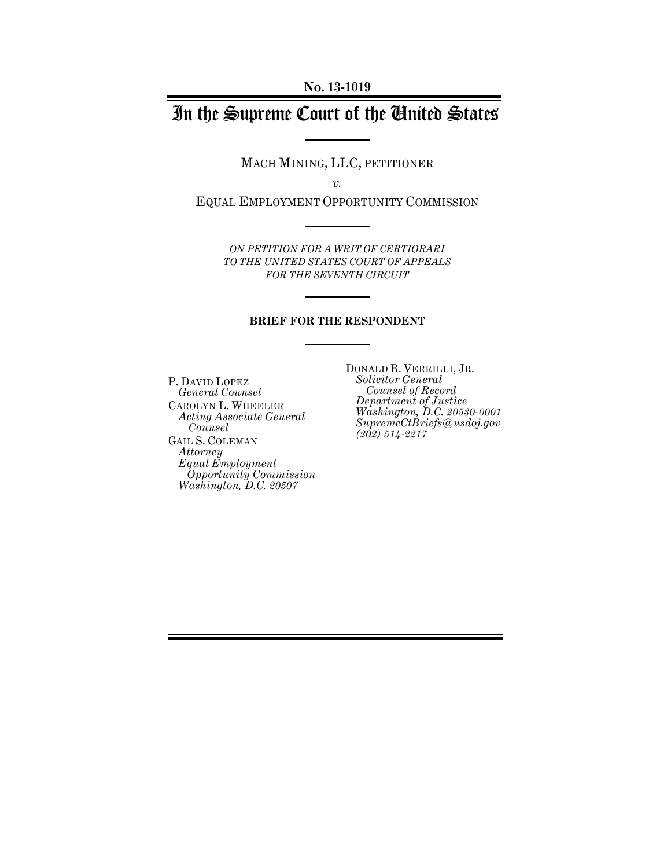# In the Supreme Court of the United States

MACH MINING, LLC, PETITIONER

*v.* 

EQUAL EMPLOYMENT OPPORTUNITY COMMISSION

*ON PETITION FOR A WRIT OF CERTIORARI TO THE UNITED STATES COURT OF APPEALS FOR THE SEVENTH CIRCUIT* 

### **BRIEF FOR THE RESPONDENT**

P. DAVID LOPEZ *General Counsel*  CAROLYN L. WHEELER *Acting Associate General Counsel*  GAIL S. COLEMAN *Attorney Equal Employment Opportunity Commission Washington, D.C. 20507* 

DONALD B. VERRILLI, JR. *Solicitor General Counsel of Record Department of Justice Washington, D.C. 20530-0001 SupremeCtBriefs@usdoj.gov (202) 514-2217*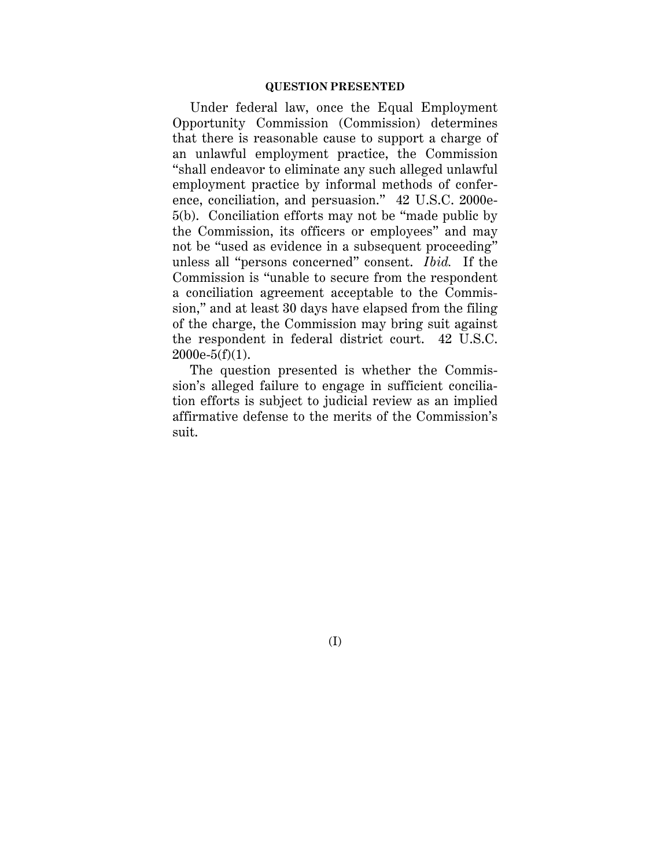### **QUESTION PRESENTED**

Under federal law, once the Equal Employment Opportunity Commission (Commission) determines that there is reasonable cause to support a charge of an unlawful employment practice, the Commission "shall endeavor to eliminate any such alleged unlawful employment practice by informal methods of conference, conciliation, and persuasion." 42 U.S.C. 2000e-5(b). Conciliation efforts may not be "made public by the Commission, its officers or employees" and may not be "used as evidence in a subsequent proceeding" unless all "persons concerned" consent. *Ibid.* If the Commission is "unable to secure from the respondent a conciliation agreement acceptable to the Commission," and at least 30 days have elapsed from the filing of the charge, the Commission may bring suit against the respondent in federal district court. 42 U.S.C.  $2000e-5(f)(1)$ .

The question presented is whether the Commission's alleged failure to engage in sufficient conciliation efforts is subject to judicial review as an implied affirmative defense to the merits of the Commission's suit.

(I)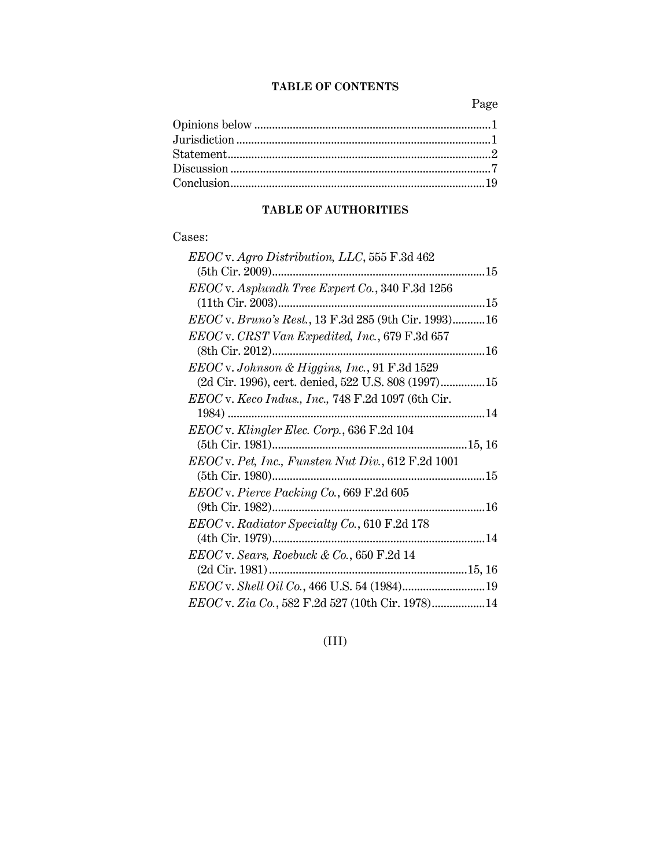### **TABLE OF CONTENTS**

Page

### **TABLE OF AUTHORITIES**

### Cases:

| $EEOC$ v. Agro Distribution, LLC, 555 F.3d 462        |
|-------------------------------------------------------|
|                                                       |
| $EEOC$ v. Asplundh Tree Expert Co., 340 F.3d 1256     |
| (11th Cir. 2003)                                      |
| EEOC v. Bruno's Rest., 13 F.3d 285 (9th Cir. 1993) 16 |
| EEOC v. CRST Van Expedited, Inc., 679 F.3d 657        |
| (8th Cir. 2012)                                       |
| EEOC v. Johnson & Higgins, Inc., 91 F.3d 1529         |
| (2d Cir. 1996), cert. denied, 522 U.S. 808 (1997)15   |
| $EEOC$ v. Keco Indus., Inc., 748 F.2d 1097 (6th Cir.  |
|                                                       |
| EEOC v. Klingler Elec. Corp., 636 F.2d 104            |
|                                                       |
|                                                       |
| $EEOC$ v. Pet, Inc., Funsten Nut Div., 612 F.2d 1001  |
|                                                       |
| $EEOC$ v. Pierce Packing Co., 669 F.2d 605            |
|                                                       |
| EEOC v. Radiator Specialty Co., 610 F.2d 178          |
|                                                       |
| $EEOC$ v. Sears, Roebuck & Co., 650 F.2d 14           |
|                                                       |
|                                                       |
| EEOC v. Zia Co., 582 F.2d 527 (10th Cir. 1978) 14     |

## (III)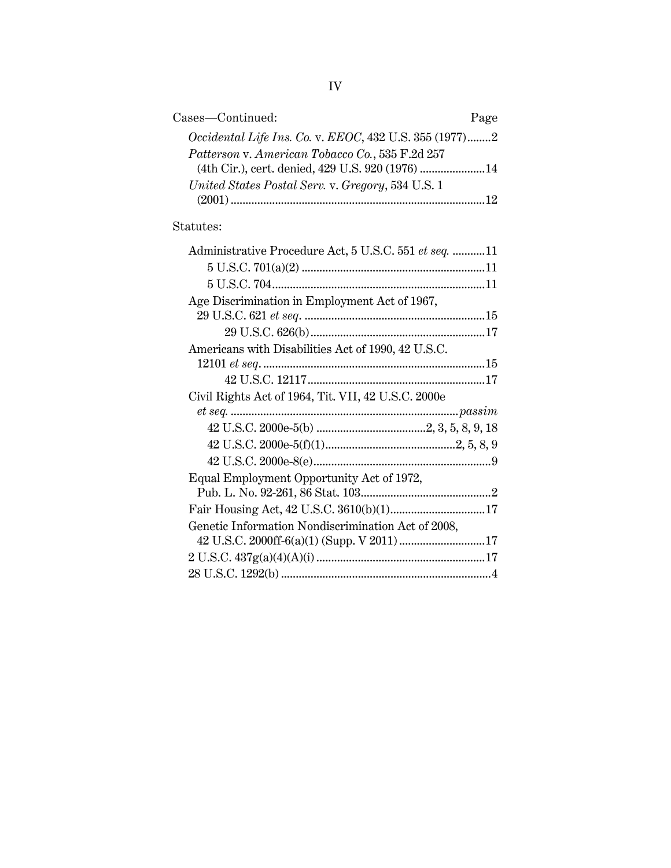| Cases-Continued:                                       | Page |
|--------------------------------------------------------|------|
| Occidental Life Ins. Co. v. EEOC, 432 U.S. 355 (1977)2 |      |
| Patterson v. American Tobacco Co., 535 F.2d 257        |      |
| (4th Cir.), cert. denied, 429 U.S. 920 (1976)  14      |      |
| United States Postal Serv. v. Gregory, 534 U.S. 1      |      |
|                                                        |      |

## Statutes:

| Administrative Procedure Act, 5 U.S.C. 551 et seq. 11 |
|-------------------------------------------------------|
|                                                       |
|                                                       |
| Age Discrimination in Employment Act of 1967,         |
|                                                       |
|                                                       |
| Americans with Disabilities Act of 1990, 42 U.S.C.    |
|                                                       |
|                                                       |
| Civil Rights Act of 1964, Tit. VII, 42 U.S.C. 2000e   |
|                                                       |
|                                                       |
|                                                       |
|                                                       |
| Equal Employment Opportunity Act of 1972,             |
|                                                       |
|                                                       |
| Genetic Information Nondiscrimination Act of 2008,    |
|                                                       |
|                                                       |
|                                                       |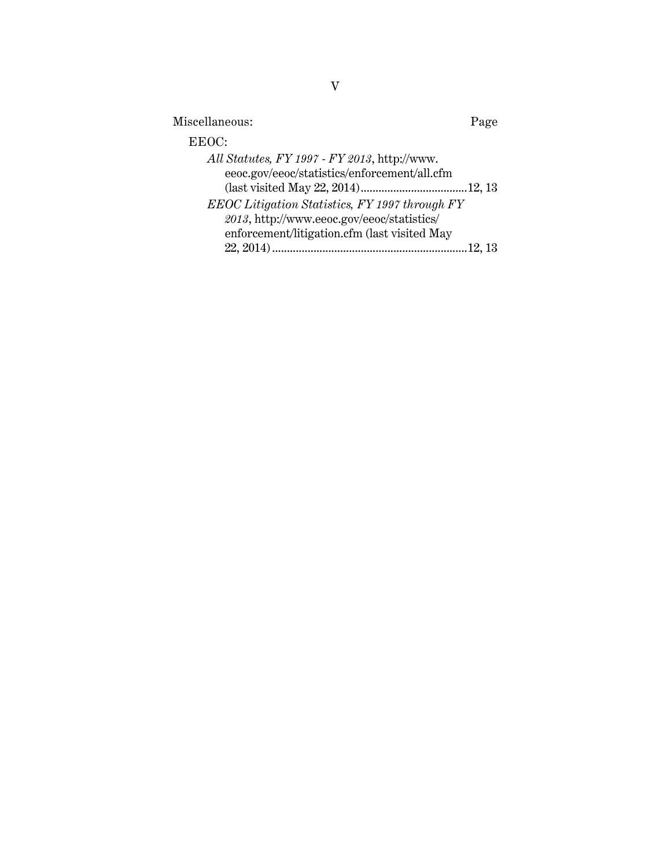| Miscellaneous:                                                                                                                               | Page |
|----------------------------------------------------------------------------------------------------------------------------------------------|------|
| EEOC:                                                                                                                                        |      |
| All Statutes, FY 1997 - FY 2013, http://www.<br>eeoc.gov/eeoc/statistics/enforcement/all.cfm                                                 |      |
| EEOC Litigation Statistics, FY 1997 through FY<br>2013, http://www.eeoc.gov/eeoc/statistics/<br>enforcement/litigation.cfm (last visited May |      |
|                                                                                                                                              |      |

V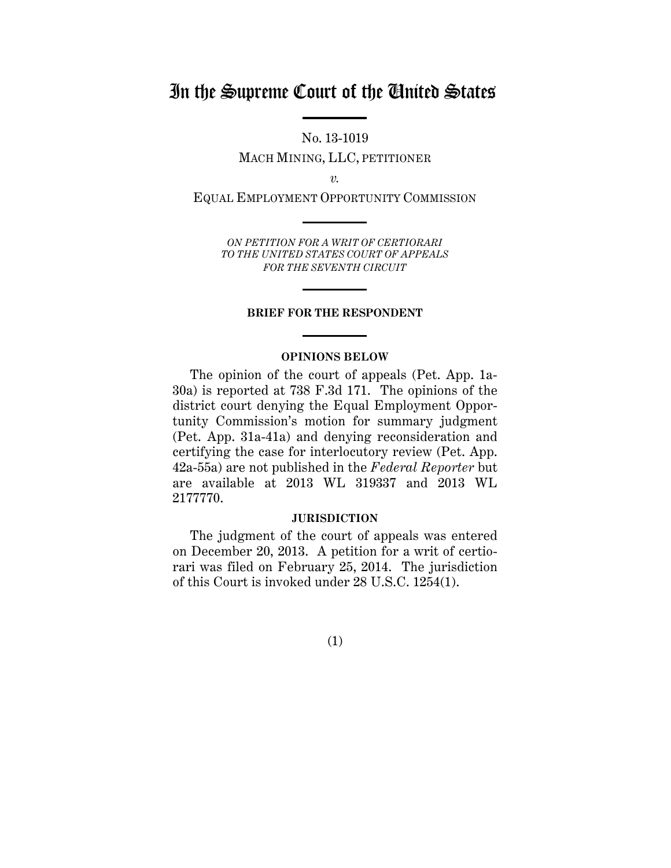## In the Supreme Court of the United States

No. 13-1019 MACH MINING, LLC, PETITIONER

*v.* 

EQUAL EMPLOYMENT OPPORTUNITY COMMISSION

*ON PETITION FOR A WRIT OF CERTIORARI TO THE UNITED STATES COURT OF APPEALS FOR THE SEVENTH CIRCUIT* 

### **BRIEF FOR THE RESPONDENT**

### **OPINIONS BELOW**

The opinion of the court of appeals (Pet. App. 1a-30a) is reported at 738 F.3d 171. The opinions of the district court denying the Equal Employment Opportunity Commission's motion for summary judgment (Pet. App. 31a-41a) and denying reconsideration and certifying the case for interlocutory review (Pet. App. 42a-55a) are not published in the *Federal Reporter* but are available at 2013 WL 319337 and 2013 WL 2177770.

### **JURISDICTION**

The judgment of the court of appeals was entered on December 20, 2013. A petition for a writ of certiorari was filed on February 25, 2014. The jurisdiction of this Court is invoked under 28 U.S.C. 1254(1).

(1)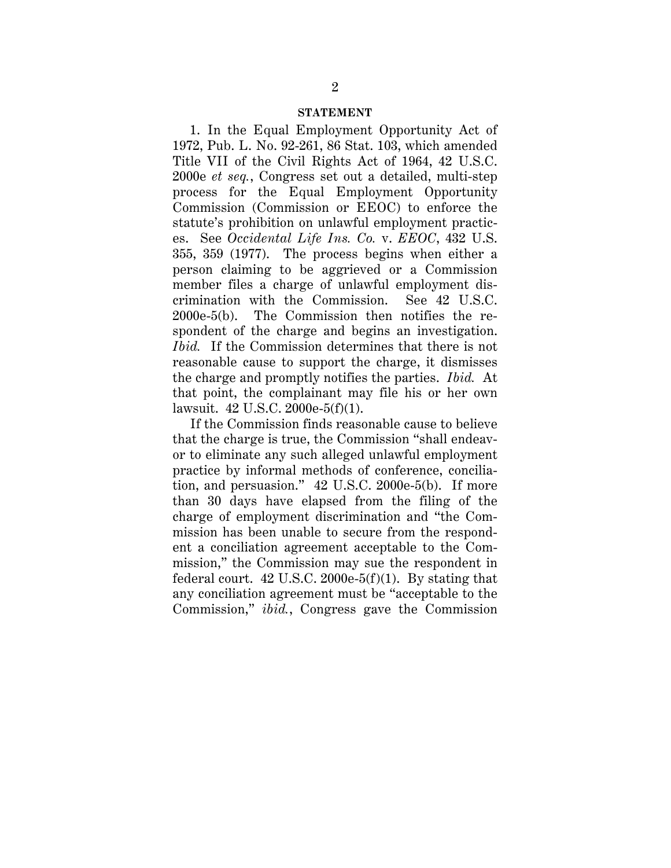#### **STATEMENT**

1. In the Equal Employment Opportunity Act of 1972, Pub. L. No. 92-261, 86 Stat. 103, which amended Title VII of the Civil Rights Act of 1964, 42 U.S.C. 2000e *et seq.*, Congress set out a detailed, multi-step process for the Equal Employment Opportunity Commission (Commission or EEOC) to enforce the statute's prohibition on unlawful employment practices. See *Occidental Life Ins. Co.* v. *EEOC*, 432 U.S. 355, 359 (1977). The process begins when either a person claiming to be aggrieved or a Commission member files a charge of unlawful employment discrimination with the Commission. See 42 U.S.C. 2000e-5(b). The Commission then notifies the respondent of the charge and begins an investigation. *Ibid.* If the Commission determines that there is not reasonable cause to support the charge, it dismisses the charge and promptly notifies the parties. *Ibid.* At that point, the complainant may file his or her own lawsuit. 42 U.S.C. 2000e-5(f)(1).

If the Commission finds reasonable cause to believe that the charge is true, the Commission "shall endeavor to eliminate any such alleged unlawful employment practice by informal methods of conference, conciliation, and persuasion." 42 U.S.C. 2000e-5(b). If more than 30 days have elapsed from the filing of the charge of employment discrimination and "the Commission has been unable to secure from the respondent a conciliation agreement acceptable to the Commission," the Commission may sue the respondent in federal court.  $42$  U.S.C. 2000e- $5(f)(1)$ . By stating that any conciliation agreement must be "acceptable to the Commission," *ibid.*, Congress gave the Commission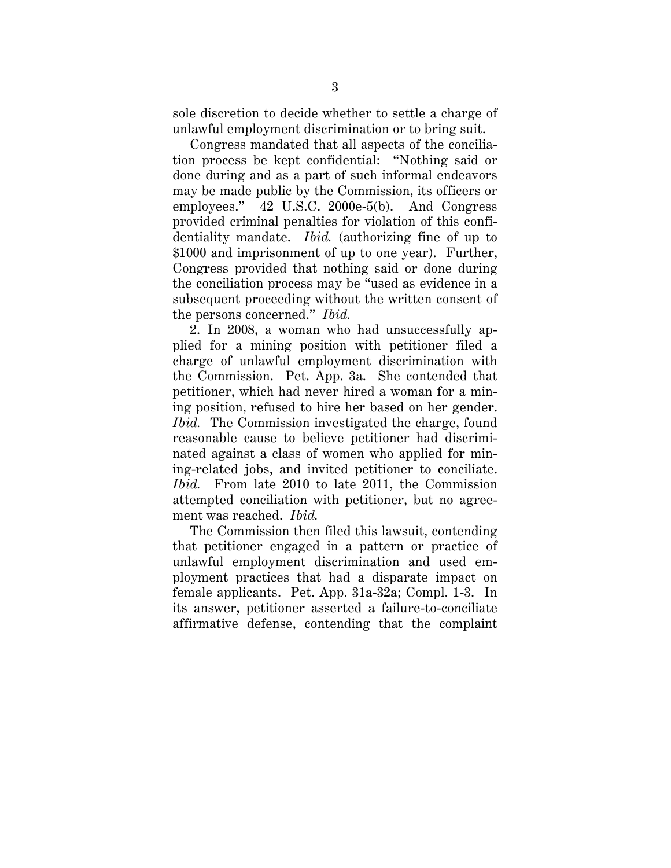sole discretion to decide whether to settle a charge of unlawful employment discrimination or to bring suit.

Congress mandated that all aspects of the conciliation process be kept confidential: "Nothing said or done during and as a part of such informal endeavors may be made public by the Commission, its officers or employees." 42 U.S.C. 2000e-5(b). And Congress provided criminal penalties for violation of this confidentiality mandate. *Ibid.* (authorizing fine of up to \$1000 and imprisonment of up to one year). Further, Congress provided that nothing said or done during the conciliation process may be "used as evidence in a subsequent proceeding without the written consent of the persons concerned." *Ibid.*

2. In 2008, a woman who had unsuccessfully applied for a mining position with petitioner filed a charge of unlawful employment discrimination with the Commission. Pet. App. 3a. She contended that petitioner, which had never hired a woman for a mining position, refused to hire her based on her gender. *Ibid.* The Commission investigated the charge, found reasonable cause to believe petitioner had discriminated against a class of women who applied for mining-related jobs, and invited petitioner to conciliate. *Ibid.* From late 2010 to late 2011, the Commission attempted conciliation with petitioner, but no agreement was reached. *Ibid.* 

The Commission then filed this lawsuit, contending that petitioner engaged in a pattern or practice of unlawful employment discrimination and used employment practices that had a disparate impact on female applicants. Pet. App. 31a-32a; Compl. 1-3. In its answer, petitioner asserted a failure-to-conciliate affirmative defense, contending that the complaint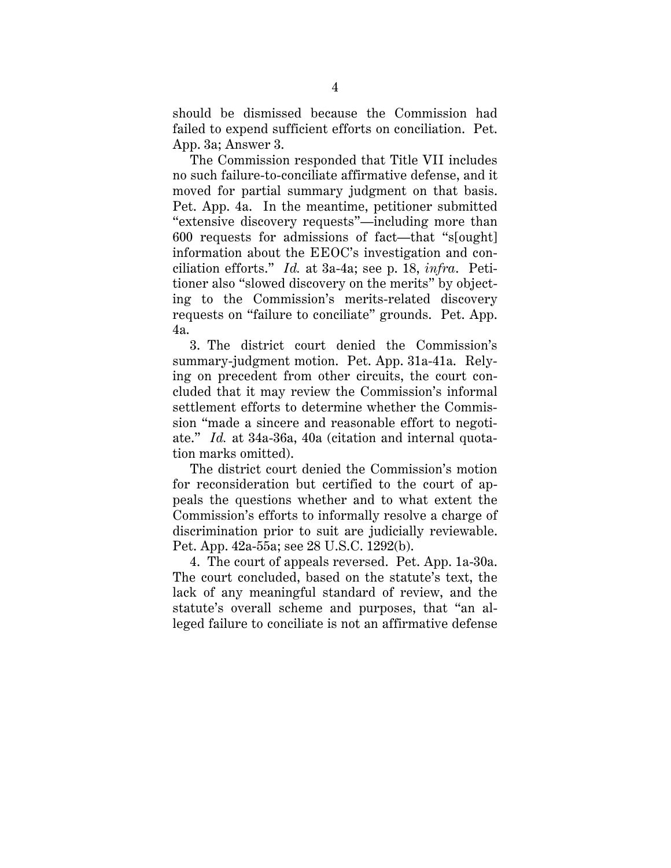should be dismissed because the Commission had failed to expend sufficient efforts on conciliation. Pet. App. 3a; Answer 3.

The Commission responded that Title VII includes no such failure-to-conciliate affirmative defense, and it moved for partial summary judgment on that basis. Pet. App. 4a. In the meantime, petitioner submitted "extensive discovery requests"—including more than 600 requests for admissions of fact—that "s[ought] information about the EEOC's investigation and conciliation efforts." *Id.* at 3a-4a; see p. 18, *infra*. Petitioner also "slowed discovery on the merits" by objecting to the Commission's merits-related discovery requests on "failure to conciliate" grounds. Pet. App. 4a.

3. The district court denied the Commission's summary-judgment motion. Pet. App. 31a-41a. Relying on precedent from other circuits, the court concluded that it may review the Commission's informal settlement efforts to determine whether the Commission "made a sincere and reasonable effort to negotiate." *Id.* at 34a-36a, 40a (citation and internal quotation marks omitted).

The district court denied the Commission's motion for reconsideration but certified to the court of appeals the questions whether and to what extent the Commission's efforts to informally resolve a charge of discrimination prior to suit are judicially reviewable. Pet. App. 42a-55a; see 28 U.S.C. 1292(b).

4. The court of appeals reversed. Pet. App. 1a-30a. The court concluded, based on the statute's text, the lack of any meaningful standard of review, and the statute's overall scheme and purposes, that "an alleged failure to conciliate is not an affirmative defense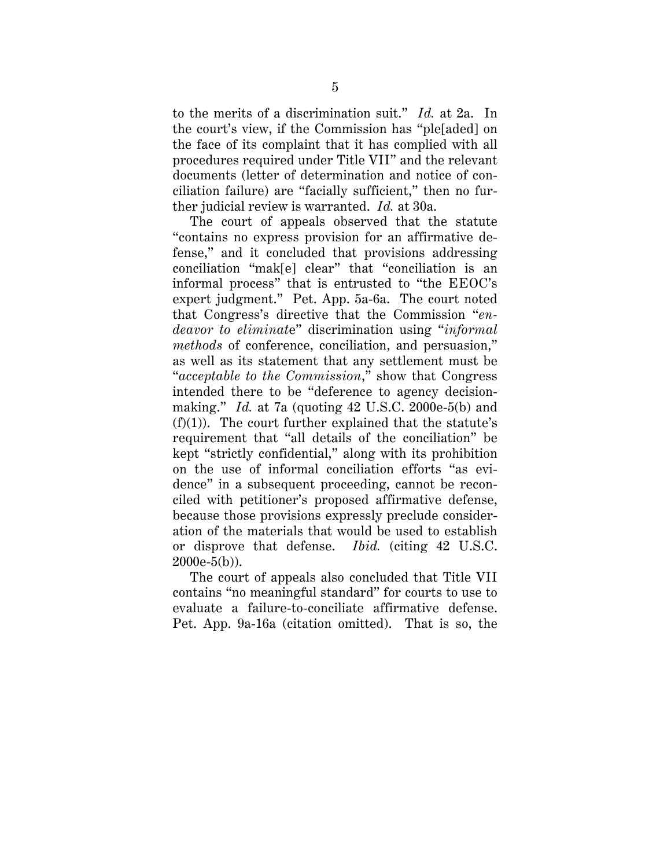to the merits of a discrimination suit." *Id.* at 2a. In the court's view, if the Commission has "ple[aded] on the face of its complaint that it has complied with all procedures required under Title VII" and the relevant documents (letter of determination and notice of conciliation failure) are "facially sufficient," then no further judicial review is warranted. *Id.* at 30a.

The court of appeals observed that the statute "contains no express provision for an affirmative defense," and it concluded that provisions addressing conciliation "mak[e] clear" that "conciliation is an informal process" that is entrusted to "the EEOC's expert judgment." Pet. App. 5a-6a. The court noted that Congress's directive that the Commission "*endeavor to eliminat*e" discrimination using "*informal methods* of conference, conciliation, and persuasion," as well as its statement that any settlement must be "*acceptable to the Commission*," show that Congress intended there to be "deference to agency decisionmaking." *Id.* at 7a (quoting 42 U.S.C. 2000e-5(b) and  $(f)(1)$ ). The court further explained that the statute's requirement that "all details of the conciliation" be kept "strictly confidential," along with its prohibition on the use of informal conciliation efforts "as evidence" in a subsequent proceeding, cannot be reconciled with petitioner's proposed affirmative defense, because those provisions expressly preclude consideration of the materials that would be used to establish or disprove that defense. *Ibid.* (citing 42 U.S.C. 2000e-5(b)).

The court of appeals also concluded that Title VII contains "no meaningful standard" for courts to use to evaluate a failure-to-conciliate affirmative defense. Pet. App. 9a-16a (citation omitted). That is so, the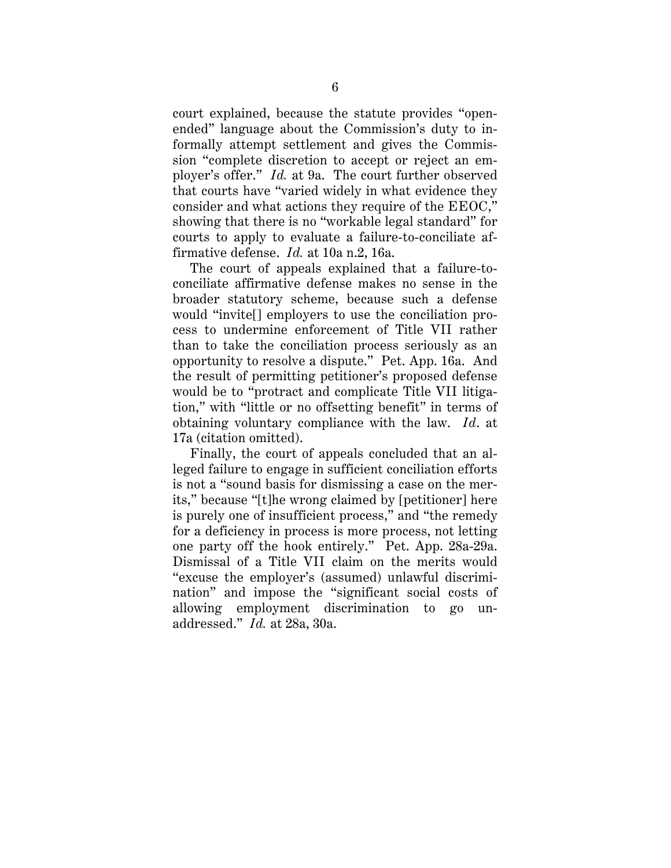court explained, because the statute provides "openended" language about the Commission's duty to informally attempt settlement and gives the Commission "complete discretion to accept or reject an employer's offer." *Id.* at 9a. The court further observed that courts have "varied widely in what evidence they consider and what actions they require of the EEOC," showing that there is no "workable legal standard" for courts to apply to evaluate a failure-to-conciliate affirmative defense. *Id.* at 10a n.2, 16a.

The court of appeals explained that a failure-toconciliate affirmative defense makes no sense in the broader statutory scheme, because such a defense would "invite[] employers to use the conciliation process to undermine enforcement of Title VII rather than to take the conciliation process seriously as an opportunity to resolve a dispute." Pet. App. 16a. And the result of permitting petitioner's proposed defense would be to "protract and complicate Title VII litigation," with "little or no offsetting benefit" in terms of obtaining voluntary compliance with the law. *Id*. at 17a (citation omitted).

Finally, the court of appeals concluded that an alleged failure to engage in sufficient conciliation efforts is not a "sound basis for dismissing a case on the merits," because "[t]he wrong claimed by [petitioner] here is purely one of insufficient process," and "the remedy for a deficiency in process is more process, not letting one party off the hook entirely." Pet. App. 28a-29a. Dismissal of a Title VII claim on the merits would "excuse the employer's (assumed) unlawful discrimination" and impose the "significant social costs of allowing employment discrimination to go unaddressed." *Id.* at 28a, 30a.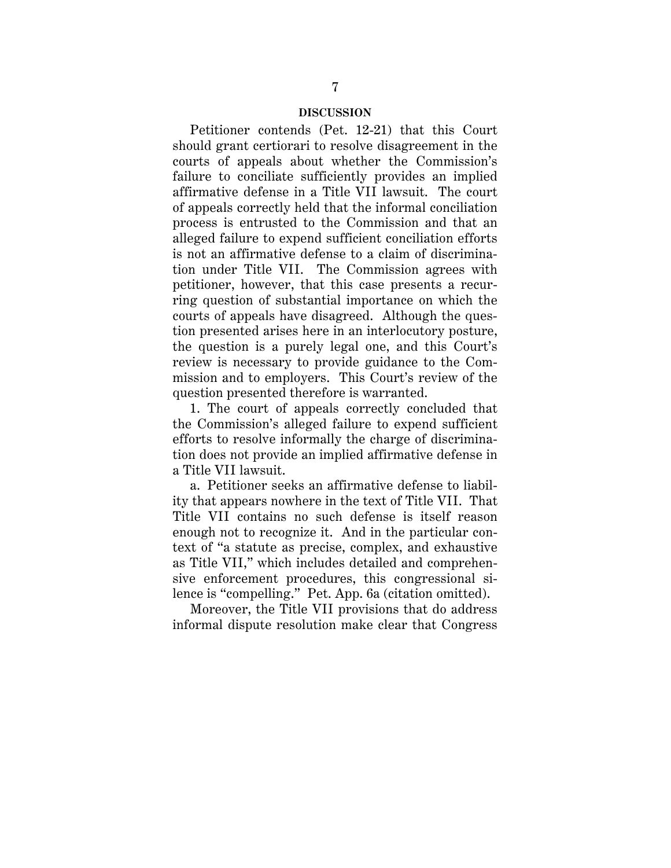### **DISCUSSION**

Petitioner contends (Pet. 12-21) that this Court should grant certiorari to resolve disagreement in the courts of appeals about whether the Commission's failure to conciliate sufficiently provides an implied affirmative defense in a Title VII lawsuit. The court of appeals correctly held that the informal conciliation process is entrusted to the Commission and that an alleged failure to expend sufficient conciliation efforts is not an affirmative defense to a claim of discrimination under Title VII. The Commission agrees with petitioner, however, that this case presents a recurring question of substantial importance on which the courts of appeals have disagreed. Although the question presented arises here in an interlocutory posture, the question is a purely legal one, and this Court's review is necessary to provide guidance to the Commission and to employers. This Court's review of the question presented therefore is warranted.

1. The court of appeals correctly concluded that the Commission's alleged failure to expend sufficient efforts to resolve informally the charge of discrimination does not provide an implied affirmative defense in a Title VII lawsuit.

a. Petitioner seeks an affirmative defense to liability that appears nowhere in the text of Title VII. That Title VII contains no such defense is itself reason enough not to recognize it. And in the particular context of "a statute as precise, complex, and exhaustive as Title VII," which includes detailed and comprehensive enforcement procedures, this congressional silence is "compelling." Pet. App. 6a (citation omitted).

Moreover, the Title VII provisions that do address informal dispute resolution make clear that Congress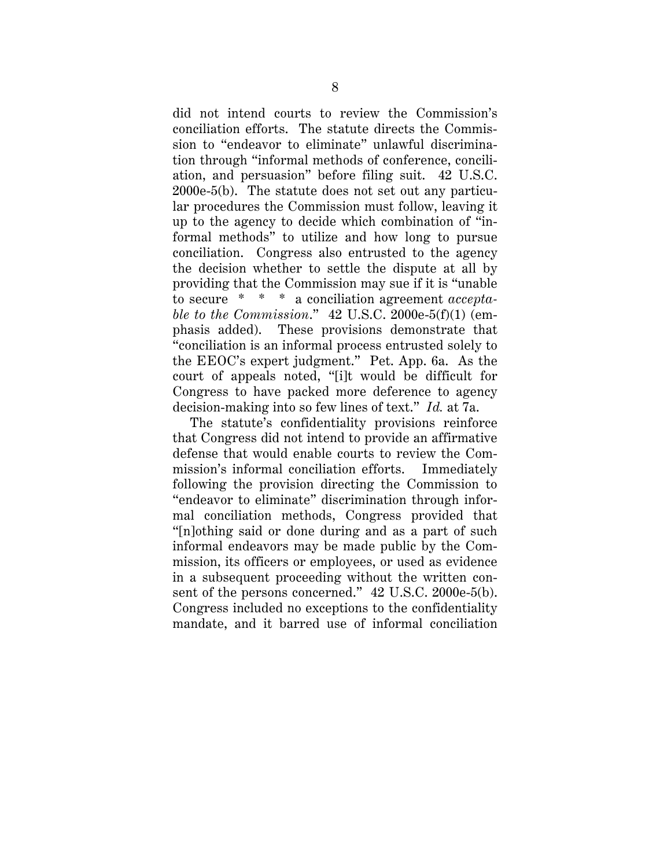did not intend courts to review the Commission's conciliation efforts. The statute directs the Commission to "endeavor to eliminate" unlawful discrimination through "informal methods of conference, conciliation, and persuasion" before filing suit. 42 U.S.C. 2000e-5(b). The statute does not set out any particular procedures the Commission must follow, leaving it up to the agency to decide which combination of "informal methods" to utilize and how long to pursue conciliation. Congress also entrusted to the agency the decision whether to settle the dispute at all by providing that the Commission may sue if it is "unable to secure \* \* \* a conciliation agreement *acceptable to the Commission*." 42 U.S.C. 2000e-5(f)(1) (emphasis added). These provisions demonstrate that "conciliation is an informal process entrusted solely to the EEOC's expert judgment." Pet. App. 6a. As the court of appeals noted, "[i]t would be difficult for Congress to have packed more deference to agency decision-making into so few lines of text." *Id.* at 7a.

The statute's confidentiality provisions reinforce that Congress did not intend to provide an affirmative defense that would enable courts to review the Commission's informal conciliation efforts. Immediately following the provision directing the Commission to "endeavor to eliminate" discrimination through informal conciliation methods, Congress provided that "[n]othing said or done during and as a part of such informal endeavors may be made public by the Commission, its officers or employees, or used as evidence in a subsequent proceeding without the written consent of the persons concerned." 42 U.S.C. 2000e-5(b). Congress included no exceptions to the confidentiality mandate, and it barred use of informal conciliation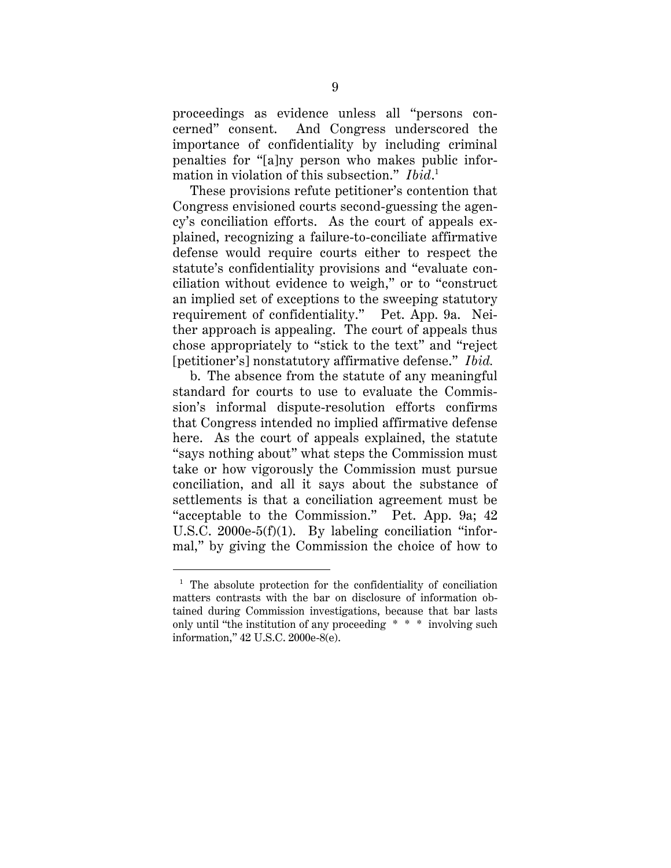proceedings as evidence unless all "persons concerned" consent. And Congress underscored the importance of confidentiality by including criminal penalties for "[a]ny person who makes public information in violation of this subsection." *Ibid*. 1

These provisions refute petitioner's contention that Congress envisioned courts second-guessing the agency's conciliation efforts. As the court of appeals explained, recognizing a failure-to-conciliate affirmative defense would require courts either to respect the statute's confidentiality provisions and "evaluate conciliation without evidence to weigh," or to "construct an implied set of exceptions to the sweeping statutory requirement of confidentiality." Pet. App. 9a. Neither approach is appealing. The court of appeals thus chose appropriately to "stick to the text" and "reject [petitioner's] nonstatutory affirmative defense." *Ibid.*

b. The absence from the statute of any meaningful standard for courts to use to evaluate the Commission's informal dispute-resolution efforts confirms that Congress intended no implied affirmative defense here. As the court of appeals explained, the statute "says nothing about" what steps the Commission must take or how vigorously the Commission must pursue conciliation, and all it says about the substance of settlements is that a conciliation agreement must be "acceptable to the Commission." Pet. App. 9a; 42 U.S.C. 2000e-5(f)(1). By labeling conciliation "informal," by giving the Commission the choice of how to

<sup>&</sup>lt;sup>1</sup> The absolute protection for the confidentiality of conciliation matters contrasts with the bar on disclosure of information obtained during Commission investigations, because that bar lasts only until "the institution of any proceeding \* \* \* involving such information," 42 U.S.C. 2000e-8(e).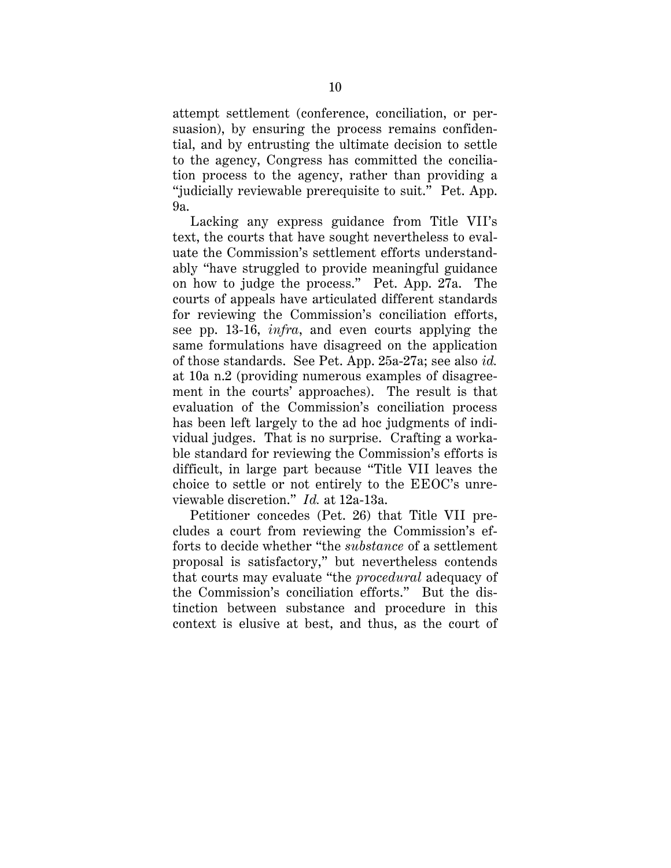attempt settlement (conference, conciliation, or persuasion), by ensuring the process remains confidential, and by entrusting the ultimate decision to settle to the agency, Congress has committed the conciliation process to the agency, rather than providing a "judicially reviewable prerequisite to suit." Pet. App. 9a.

Lacking any express guidance from Title VII's text, the courts that have sought nevertheless to evaluate the Commission's settlement efforts understandably "have struggled to provide meaningful guidance on how to judge the process." Pet. App. 27a. The courts of appeals have articulated different standards for reviewing the Commission's conciliation efforts, see pp. 13-16, *infra*, and even courts applying the same formulations have disagreed on the application of those standards. See Pet. App. 25a-27a; see also *id.* at 10a n.2 (providing numerous examples of disagreement in the courts' approaches). The result is that evaluation of the Commission's conciliation process has been left largely to the ad hoc judgments of individual judges. That is no surprise. Crafting a workable standard for reviewing the Commission's efforts is difficult, in large part because "Title VII leaves the choice to settle or not entirely to the EEOC's unreviewable discretion." *Id.* at 12a-13a.

Petitioner concedes (Pet. 26) that Title VII precludes a court from reviewing the Commission's efforts to decide whether "the *substance* of a settlement proposal is satisfactory," but nevertheless contends that courts may evaluate "the *procedural* adequacy of the Commission's conciliation efforts." But the distinction between substance and procedure in this context is elusive at best, and thus, as the court of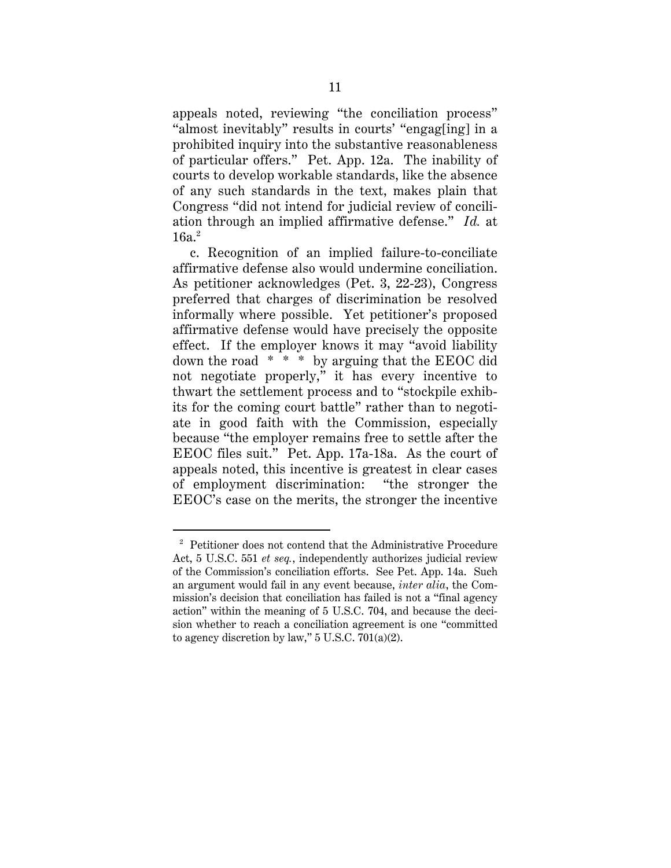appeals noted, reviewing "the conciliation process" "almost inevitably" results in courts' "engag[ing] in a prohibited inquiry into the substantive reasonableness of particular offers." Pet. App. 12a. The inability of courts to develop workable standards, like the absence of any such standards in the text, makes plain that Congress "did not intend for judicial review of conciliation through an implied affirmative defense." *Id.* at  $16a<sup>2</sup>$ 

c. Recognition of an implied failure-to-conciliate affirmative defense also would undermine conciliation. As petitioner acknowledges (Pet. 3, 22-23), Congress preferred that charges of discrimination be resolved informally where possible. Yet petitioner's proposed affirmative defense would have precisely the opposite effect. If the employer knows it may "avoid liability down the road \* \* \* by arguing that the EEOC did not negotiate properly," it has every incentive to thwart the settlement process and to "stockpile exhibits for the coming court battle" rather than to negotiate in good faith with the Commission, especially because "the employer remains free to settle after the EEOC files suit." Pet. App. 17a-18a. As the court of appeals noted, this incentive is greatest in clear cases of employment discrimination: "the stronger the EEOC's case on the merits, the stronger the incentive

<sup>&</sup>lt;sup>2</sup> Petitioner does not contend that the Administrative Procedure Act, 5 U.S.C. 551 *et seq.*, independently authorizes judicial review of the Commission's conciliation efforts. See Pet. App. 14a. Such an argument would fail in any event because, *inter alia*, the Commission's decision that conciliation has failed is not a "final agency action" within the meaning of 5 U.S.C. 704, and because the decision whether to reach a conciliation agreement is one "committed to agency discretion by law," 5 U.S.C. 701(a)(2).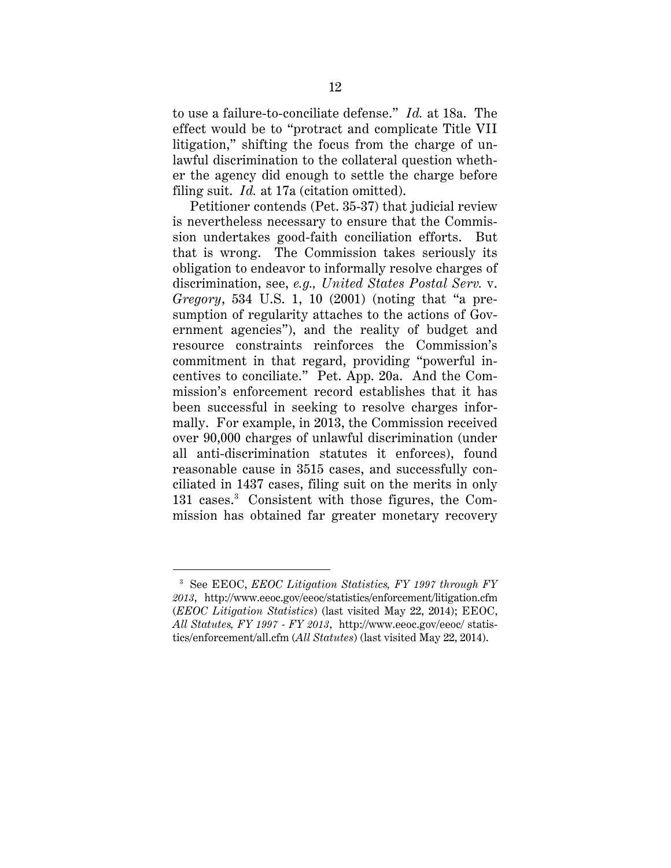to use a failure-to-conciliate defense." *Id.* at 18a. The effect would be to "protract and complicate Title VII litigation," shifting the focus from the charge of unlawful discrimination to the collateral question whether the agency did enough to settle the charge before filing suit. *Id.* at 17a (citation omitted).

Petitioner contends (Pet. 35-37) that judicial review is nevertheless necessary to ensure that the Commission undertakes good-faith conciliation efforts. But that is wrong. The Commission takes seriously its obligation to endeavor to informally resolve charges of discrimination, see, *e.g., United States Postal Serv.* v. *Gregory*, 534 U.S. 1, 10 (2001) (noting that "a presumption of regularity attaches to the actions of Government agencies"), and the reality of budget and resource constraints reinforces the Commission's commitment in that regard, providing "powerful incentives to conciliate." Pet. App. 20a. And the Commission's enforcement record establishes that it has been successful in seeking to resolve charges informally. For example, in 2013, the Commission received over 90,000 charges of unlawful discrimination (under all anti-discrimination statutes it enforces), found reasonable cause in 3515 cases, and successfully conciliated in 1437 cases, filing suit on the merits in only 131 cases.<sup>3</sup> Consistent with those figures, the Commission has obtained far greater monetary recovery

<sup>&</sup>lt;sup>3</sup> See EEOC, *EEOC Litigation Statistics, FY 1997 through FY 2013*, http://www.eeoc.gov/eeoc/statistics/enforcement/litigation.cfm (*EEOC Litigation Statistics*) (last visited May 22, 2014); EEOC, *All Statutes, FY 1997 - FY 2013*, http://www.eeoc.gov/eeoc/ statistics/enforcement/all.cfm (*All Statutes*) (last visited May 22, 2014).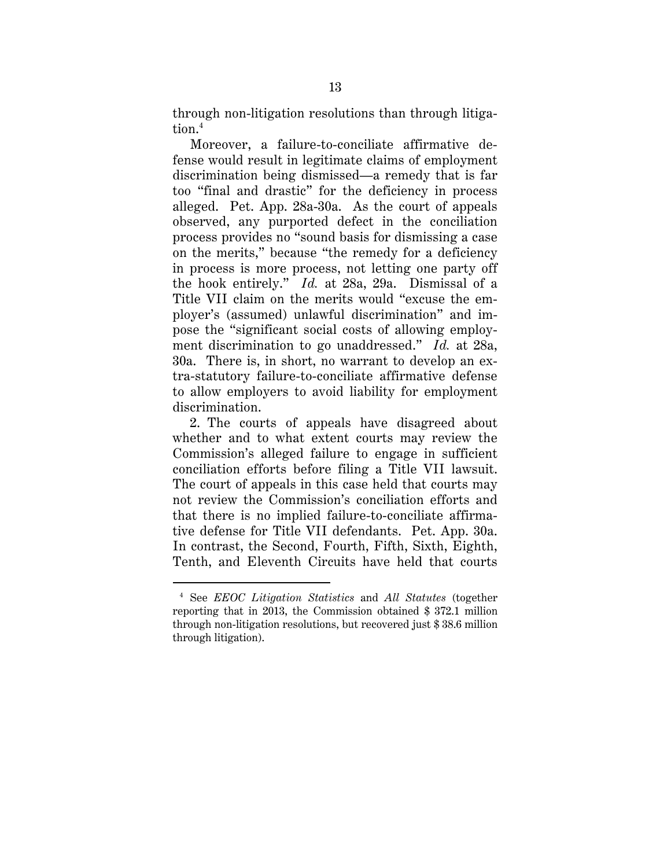through non-litigation resolutions than through litigation.4

Moreover, a failure-to-conciliate affirmative defense would result in legitimate claims of employment discrimination being dismissed—a remedy that is far too "final and drastic" for the deficiency in process alleged. Pet. App. 28a-30a. As the court of appeals observed, any purported defect in the conciliation process provides no "sound basis for dismissing a case on the merits," because "the remedy for a deficiency in process is more process, not letting one party off the hook entirely." *Id.* at 28a, 29a. Dismissal of a Title VII claim on the merits would "excuse the employer's (assumed) unlawful discrimination" and impose the "significant social costs of allowing employment discrimination to go unaddressed." *Id.* at 28a, 30a. There is, in short, no warrant to develop an extra-statutory failure-to-conciliate affirmative defense to allow employers to avoid liability for employment discrimination.

2. The courts of appeals have disagreed about whether and to what extent courts may review the Commission's alleged failure to engage in sufficient conciliation efforts before filing a Title VII lawsuit. The court of appeals in this case held that courts may not review the Commission's conciliation efforts and that there is no implied failure-to-conciliate affirmative defense for Title VII defendants. Pet. App. 30a. In contrast, the Second, Fourth, Fifth, Sixth, Eighth, Tenth, and Eleventh Circuits have held that courts

<sup>4</sup> See *EEOC Litigation Statistics* and *All Statutes* (together reporting that in 2013, the Commission obtained \$ 372.1 million through non-litigation resolutions, but recovered just \$ 38.6 million through litigation).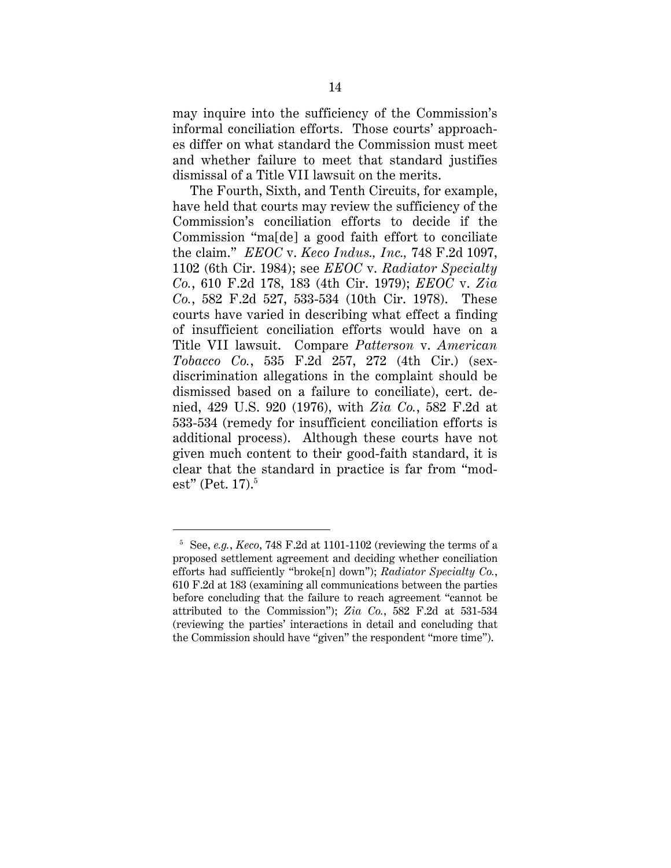may inquire into the sufficiency of the Commission's informal conciliation efforts. Those courts' approaches differ on what standard the Commission must meet and whether failure to meet that standard justifies dismissal of a Title VII lawsuit on the merits.

The Fourth, Sixth, and Tenth Circuits, for example, have held that courts may review the sufficiency of the Commission's conciliation efforts to decide if the Commission "ma[de] a good faith effort to conciliate the claim." *EEOC* v. *Keco Indus., Inc.,* 748 F.2d 1097, 1102 (6th Cir. 1984); see *EEOC* v. *Radiator Specialty Co.*, 610 F.2d 178, 183 (4th Cir. 1979); *EEOC* v. *Zia Co.*, 582 F.2d 527, 533-534 (10th Cir. 1978). These courts have varied in describing what effect a finding of insufficient conciliation efforts would have on a Title VII lawsuit. Compare *Patterson* v. *American Tobacco Co.*, 535 F.2d 257, 272 (4th Cir.) (sexdiscrimination allegations in the complaint should be dismissed based on a failure to conciliate), cert. denied, 429 U.S. 920 (1976), with *Zia Co.*, 582 F.2d at 533-534 (remedy for insufficient conciliation efforts is additional process). Although these courts have not given much content to their good-faith standard, it is clear that the standard in practice is far from "modest" (Pet. 17). $^5$ 

<sup>5</sup> See, *e.g.*, *Keco*, 748 F.2d at 1101-1102 (reviewing the terms of a proposed settlement agreement and deciding whether conciliation efforts had sufficiently "broke[n] down"); *Radiator Specialty Co.*, 610 F.2d at 183 (examining all communications between the parties before concluding that the failure to reach agreement "cannot be attributed to the Commission"); *Zia Co.*, 582 F.2d at 531-534 (reviewing the parties' interactions in detail and concluding that the Commission should have "given" the respondent "more time").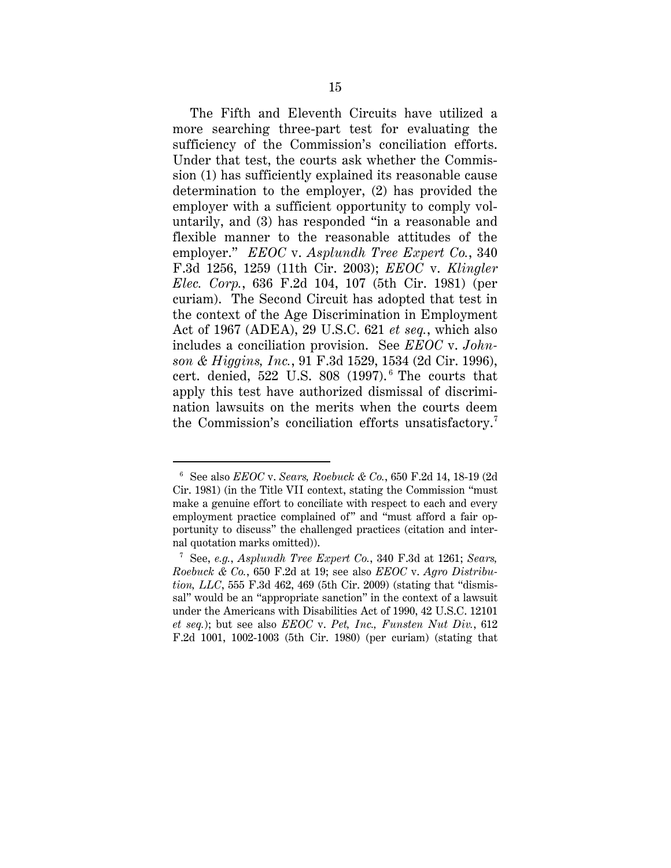The Fifth and Eleventh Circuits have utilized a more searching three-part test for evaluating the sufficiency of the Commission's conciliation efforts. Under that test, the courts ask whether the Commission (1) has sufficiently explained its reasonable cause determination to the employer, (2) has provided the employer with a sufficient opportunity to comply voluntarily, and (3) has responded "in a reasonable and flexible manner to the reasonable attitudes of the employer." *EEOC* v. *Asplundh Tree Expert Co.*, 340 F.3d 1256, 1259 (11th Cir. 2003); *EEOC* v. *Klingler Elec. Corp.*, 636 F.2d 104, 107 (5th Cir. 1981) (per curiam). The Second Circuit has adopted that test in the context of the Age Discrimination in Employment Act of 1967 (ADEA), 29 U.S.C. 621 *et seq.*, which also includes a conciliation provision. See *EEOC* v. *Johnson & Higgins, Inc.*, 91 F.3d 1529, 1534 (2d Cir. 1996), cert. denied,  $522$  U.S.  $808$   $(1997)^6$ . The courts that apply this test have authorized dismissal of discrimination lawsuits on the merits when the courts deem the Commission's conciliation efforts unsatisfactory.7

<sup>6</sup> See also *EEOC* v. *Sears, Roebuck & Co.*, 650 F.2d 14, 18-19 (2d Cir. 1981) (in the Title VII context, stating the Commission "must make a genuine effort to conciliate with respect to each and every employment practice complained of" and "must afford a fair opportunity to discuss" the challenged practices (citation and internal quotation marks omitted)).

<sup>7</sup> See, *e.g.*, *Asplundh Tree Expert Co.*, 340 F.3d at 1261; *Sears, Roebuck & Co.*, 650 F.2d at 19; see also *EEOC* v. *Agro Distribution, LLC*, 555 F.3d 462, 469 (5th Cir. 2009) (stating that "dismissal" would be an "appropriate sanction" in the context of a lawsuit under the Americans with Disabilities Act of 1990, 42 U.S.C. 12101 *et seq.*); but see also *EEOC* v. *Pet, Inc., Funsten Nut Div.*, 612 F.2d 1001, 1002-1003 (5th Cir. 1980) (per curiam) (stating that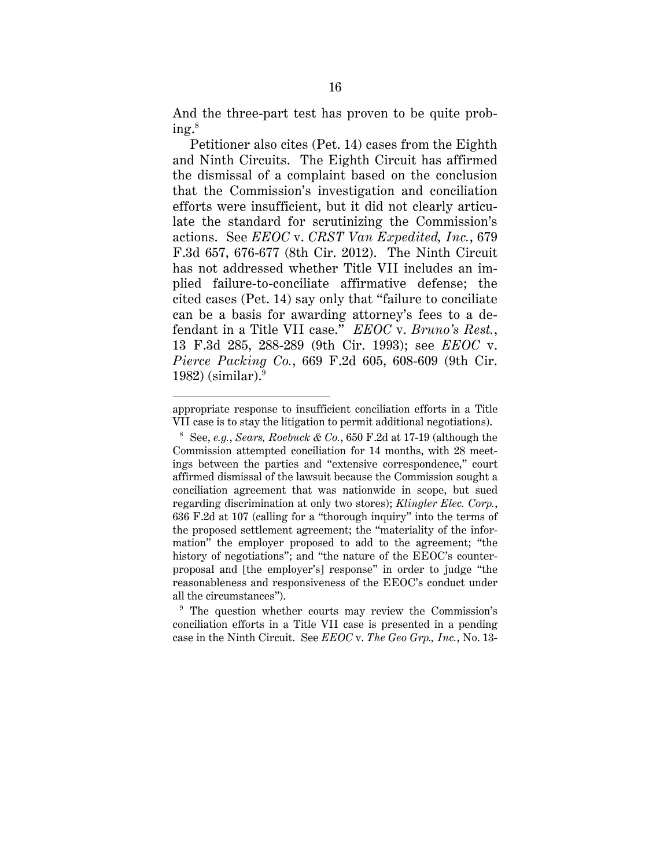And the three-part test has proven to be quite prob $ing.^8$ 

Petitioner also cites (Pet. 14) cases from the Eighth and Ninth Circuits. The Eighth Circuit has affirmed the dismissal of a complaint based on the conclusion that the Commission's investigation and conciliation efforts were insufficient, but it did not clearly articulate the standard for scrutinizing the Commission's actions. See *EEOC* v. *CRST Van Expedited, Inc.*, 679 F.3d 657, 676-677 (8th Cir. 2012). The Ninth Circuit has not addressed whether Title VII includes an implied failure-to-conciliate affirmative defense; the cited cases (Pet. 14) say only that "failure to conciliate can be a basis for awarding attorney's fees to a defendant in a Title VII case." *EEOC* v. *Bruno's Rest.*, 13 F.3d 285, 288-289 (9th Cir. 1993); see *EEOC* v. *Pierce Packing Co.*, 669 F.2d 605, 608-609 (9th Cir. 1982) (similar). $9^9$ 

 $\ddot{\phantom{a}}$ 

<sup>9</sup> The question whether courts may review the Commission's conciliation efforts in a Title VII case is presented in a pending case in the Ninth Circuit. See *EEOC* v. *The Geo Grp., Inc.*, No. 13-

appropriate response to insufficient conciliation efforts in a Title VII case is to stay the litigation to permit additional negotiations).

 $8$  See, *e.g.*, *Sears, Roebuck & Co.*, 650 F.2d at 17-19 (although the Commission attempted conciliation for 14 months, with 28 meetings between the parties and "extensive correspondence," court affirmed dismissal of the lawsuit because the Commission sought a conciliation agreement that was nationwide in scope, but sued regarding discrimination at only two stores); *Klingler Elec. Corp.*, 636 F.2d at 107 (calling for a "thorough inquiry" into the terms of the proposed settlement agreement; the "materiality of the information" the employer proposed to add to the agreement; "the history of negotiations"; and "the nature of the EEOC's counterproposal and [the employer's] response" in order to judge "the reasonableness and responsiveness of the EEOC's conduct under all the circumstances").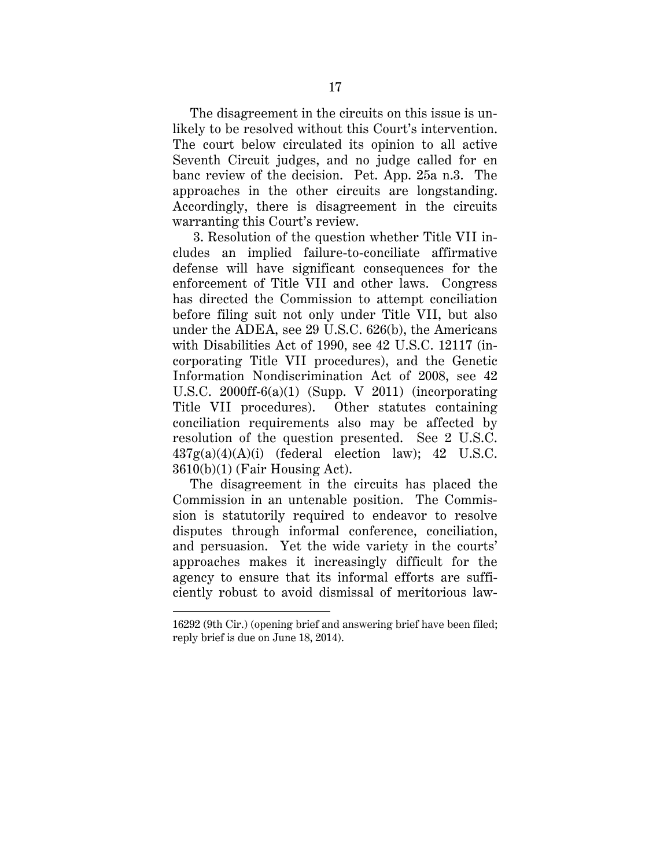The disagreement in the circuits on this issue is unlikely to be resolved without this Court's intervention. The court below circulated its opinion to all active Seventh Circuit judges, and no judge called for en banc review of the decision. Pet. App. 25a n.3. The approaches in the other circuits are longstanding. Accordingly, there is disagreement in the circuits warranting this Court's review.

 3. Resolution of the question whether Title VII includes an implied failure-to-conciliate affirmative defense will have significant consequences for the enforcement of Title VII and other laws. Congress has directed the Commission to attempt conciliation before filing suit not only under Title VII, but also under the ADEA, see 29 U.S.C. 626(b), the Americans with Disabilities Act of 1990, see 42 U.S.C. 12117 (incorporating Title VII procedures), and the Genetic Information Nondiscrimination Act of 2008, see 42 U.S.C. 2000ff-6(a)(1) (Supp. V 2011) (incorporating Title VII procedures). Other statutes containing conciliation requirements also may be affected by resolution of the question presented. See 2 U.S.C.  $437g(a)(4)(A)(i)$  (federal election law); 42 U.S.C. 3610(b)(1) (Fair Housing Act).

The disagreement in the circuits has placed the Commission in an untenable position. The Commission is statutorily required to endeavor to resolve disputes through informal conference, conciliation, and persuasion. Yet the wide variety in the courts' approaches makes it increasingly difficult for the agency to ensure that its informal efforts are sufficiently robust to avoid dismissal of meritorious law-

<sup>16292 (9</sup>th Cir.) (opening brief and answering brief have been filed; reply brief is due on June 18, 2014).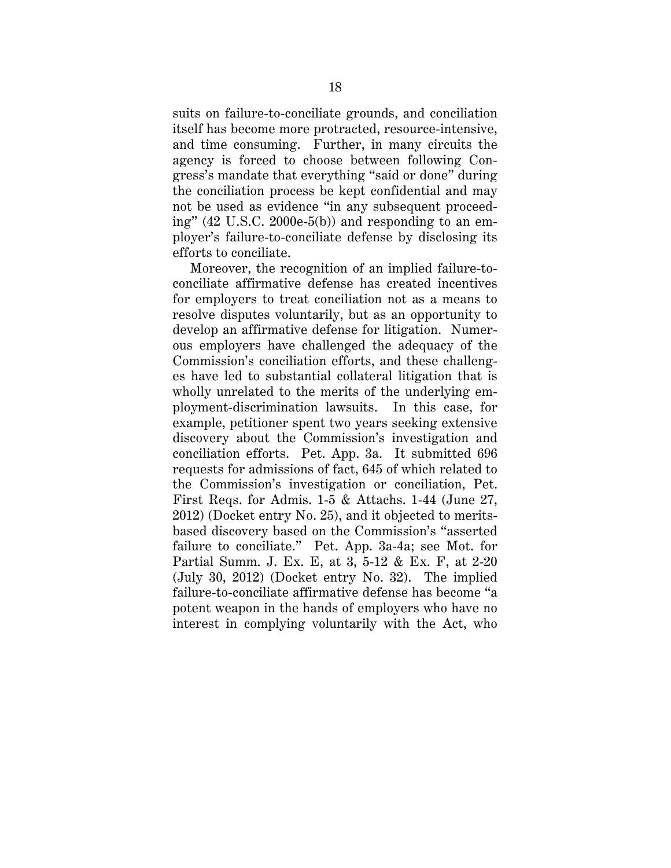suits on failure-to-conciliate grounds, and conciliation itself has become more protracted, resource-intensive, and time consuming. Further, in many circuits the agency is forced to choose between following Congress's mandate that everything "said or done" during the conciliation process be kept confidential and may not be used as evidence "in any subsequent proceeding" (42 U.S.C. 2000e-5(b)) and responding to an employer's failure-to-conciliate defense by disclosing its efforts to conciliate.

Moreover, the recognition of an implied failure-toconciliate affirmative defense has created incentives for employers to treat conciliation not as a means to resolve disputes voluntarily, but as an opportunity to develop an affirmative defense for litigation. Numerous employers have challenged the adequacy of the Commission's conciliation efforts, and these challenges have led to substantial collateral litigation that is wholly unrelated to the merits of the underlying employment-discrimination lawsuits. In this case, for example, petitioner spent two years seeking extensive discovery about the Commission's investigation and conciliation efforts. Pet. App. 3a. It submitted 696 requests for admissions of fact, 645 of which related to the Commission's investigation or conciliation, Pet. First Reqs. for Admis. 1-5 & Attachs. 1-44 (June 27, 2012) (Docket entry No. 25), and it objected to meritsbased discovery based on the Commission's "asserted failure to conciliate." Pet. App. 3a-4a; see Mot. for Partial Summ. J. Ex. E, at 3, 5-12 & Ex. F, at 2-20 (July 30, 2012) (Docket entry No. 32). The implied failure-to-conciliate affirmative defense has become "a potent weapon in the hands of employers who have no interest in complying voluntarily with the Act, who